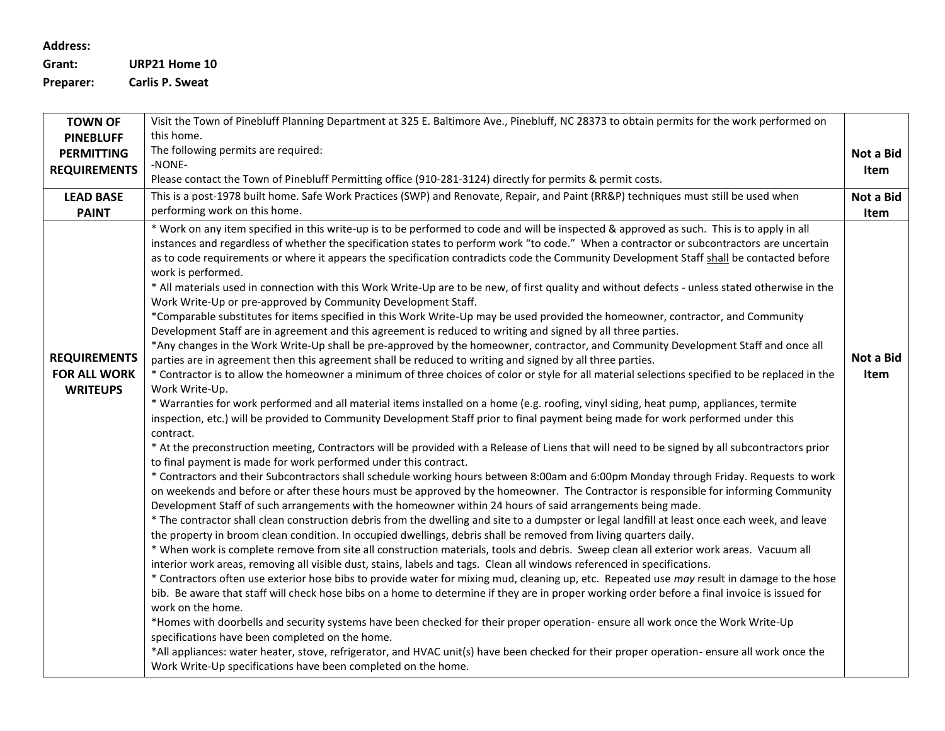**Address:**

**Grant: URP21 Home 10**

**Preparer: Carlis P. Sweat**

| <b>TOWN OF</b>                                                | Visit the Town of Pinebluff Planning Department at 325 E. Baltimore Ave., Pinebluff, NC 28373 to obtain permits for the work performed on                                                                                                                                                                                                                                                                                                                                                                                                                                                                                                                                                                                                                                                                                                                                                                                                                                                                                                                                                                                                                                                                                                                                                                                                                                                                                                                                                                                                                                                                                                                                                                                                                                                                                                                                                                                                                                                                                                                                                                                                                                                                                                                                                                                                                                                                                                                                                                                                                                                                                                                                                                                                                                                                                                                                                                                                                                                                                                                                                                                                                                                                                                                                                                                                                                                                                                                                                                                                         |                   |  |  |
|---------------------------------------------------------------|---------------------------------------------------------------------------------------------------------------------------------------------------------------------------------------------------------------------------------------------------------------------------------------------------------------------------------------------------------------------------------------------------------------------------------------------------------------------------------------------------------------------------------------------------------------------------------------------------------------------------------------------------------------------------------------------------------------------------------------------------------------------------------------------------------------------------------------------------------------------------------------------------------------------------------------------------------------------------------------------------------------------------------------------------------------------------------------------------------------------------------------------------------------------------------------------------------------------------------------------------------------------------------------------------------------------------------------------------------------------------------------------------------------------------------------------------------------------------------------------------------------------------------------------------------------------------------------------------------------------------------------------------------------------------------------------------------------------------------------------------------------------------------------------------------------------------------------------------------------------------------------------------------------------------------------------------------------------------------------------------------------------------------------------------------------------------------------------------------------------------------------------------------------------------------------------------------------------------------------------------------------------------------------------------------------------------------------------------------------------------------------------------------------------------------------------------------------------------------------------------------------------------------------------------------------------------------------------------------------------------------------------------------------------------------------------------------------------------------------------------------------------------------------------------------------------------------------------------------------------------------------------------------------------------------------------------------------------------------------------------------------------------------------------------------------------------------------------------------------------------------------------------------------------------------------------------------------------------------------------------------------------------------------------------------------------------------------------------------------------------------------------------------------------------------------------------------------------------------------------------------------------------------------------------|-------------------|--|--|
| <b>PINEBLUFF</b>                                              | this home.                                                                                                                                                                                                                                                                                                                                                                                                                                                                                                                                                                                                                                                                                                                                                                                                                                                                                                                                                                                                                                                                                                                                                                                                                                                                                                                                                                                                                                                                                                                                                                                                                                                                                                                                                                                                                                                                                                                                                                                                                                                                                                                                                                                                                                                                                                                                                                                                                                                                                                                                                                                                                                                                                                                                                                                                                                                                                                                                                                                                                                                                                                                                                                                                                                                                                                                                                                                                                                                                                                                                        |                   |  |  |
| <b>PERMITTING</b>                                             | The following permits are required:<br>Not a Bid                                                                                                                                                                                                                                                                                                                                                                                                                                                                                                                                                                                                                                                                                                                                                                                                                                                                                                                                                                                                                                                                                                                                                                                                                                                                                                                                                                                                                                                                                                                                                                                                                                                                                                                                                                                                                                                                                                                                                                                                                                                                                                                                                                                                                                                                                                                                                                                                                                                                                                                                                                                                                                                                                                                                                                                                                                                                                                                                                                                                                                                                                                                                                                                                                                                                                                                                                                                                                                                                                                  |                   |  |  |
| <b>REQUIREMENTS</b>                                           | -NONE-                                                                                                                                                                                                                                                                                                                                                                                                                                                                                                                                                                                                                                                                                                                                                                                                                                                                                                                                                                                                                                                                                                                                                                                                                                                                                                                                                                                                                                                                                                                                                                                                                                                                                                                                                                                                                                                                                                                                                                                                                                                                                                                                                                                                                                                                                                                                                                                                                                                                                                                                                                                                                                                                                                                                                                                                                                                                                                                                                                                                                                                                                                                                                                                                                                                                                                                                                                                                                                                                                                                                            |                   |  |  |
|                                                               | Please contact the Town of Pinebluff Permitting office (910-281-3124) directly for permits & permit costs.                                                                                                                                                                                                                                                                                                                                                                                                                                                                                                                                                                                                                                                                                                                                                                                                                                                                                                                                                                                                                                                                                                                                                                                                                                                                                                                                                                                                                                                                                                                                                                                                                                                                                                                                                                                                                                                                                                                                                                                                                                                                                                                                                                                                                                                                                                                                                                                                                                                                                                                                                                                                                                                                                                                                                                                                                                                                                                                                                                                                                                                                                                                                                                                                                                                                                                                                                                                                                                        |                   |  |  |
| <b>LEAD BASE</b>                                              | This is a post-1978 built home. Safe Work Practices (SWP) and Renovate, Repair, and Paint (RR&P) techniques must still be used when                                                                                                                                                                                                                                                                                                                                                                                                                                                                                                                                                                                                                                                                                                                                                                                                                                                                                                                                                                                                                                                                                                                                                                                                                                                                                                                                                                                                                                                                                                                                                                                                                                                                                                                                                                                                                                                                                                                                                                                                                                                                                                                                                                                                                                                                                                                                                                                                                                                                                                                                                                                                                                                                                                                                                                                                                                                                                                                                                                                                                                                                                                                                                                                                                                                                                                                                                                                                               | Not a Bid         |  |  |
| <b>PAINT</b>                                                  | performing work on this home.                                                                                                                                                                                                                                                                                                                                                                                                                                                                                                                                                                                                                                                                                                                                                                                                                                                                                                                                                                                                                                                                                                                                                                                                                                                                                                                                                                                                                                                                                                                                                                                                                                                                                                                                                                                                                                                                                                                                                                                                                                                                                                                                                                                                                                                                                                                                                                                                                                                                                                                                                                                                                                                                                                                                                                                                                                                                                                                                                                                                                                                                                                                                                                                                                                                                                                                                                                                                                                                                                                                     | Item              |  |  |
| <b>REQUIREMENTS</b><br><b>FOR ALL WORK</b><br><b>WRITEUPS</b> | * Work on any item specified in this write-up is to be performed to code and will be inspected & approved as such. This is to apply in all<br>instances and regardless of whether the specification states to perform work "to code." When a contractor or subcontractors are uncertain<br>as to code requirements or where it appears the specification contradicts code the Community Development Staff shall be contacted before<br>work is performed.<br>* All materials used in connection with this Work Write-Up are to be new, of first quality and without defects - unless stated otherwise in the<br>Work Write-Up or pre-approved by Community Development Staff.<br>*Comparable substitutes for items specified in this Work Write-Up may be used provided the homeowner, contractor, and Community<br>Development Staff are in agreement and this agreement is reduced to writing and signed by all three parties.<br>*Any changes in the Work Write-Up shall be pre-approved by the homeowner, contractor, and Community Development Staff and once all<br>parties are in agreement then this agreement shall be reduced to writing and signed by all three parties.<br>* Contractor is to allow the homeowner a minimum of three choices of color or style for all material selections specified to be replaced in the<br>Work Write-Up.<br>* Warranties for work performed and all material items installed on a home (e.g. roofing, vinyl siding, heat pump, appliances, termite<br>inspection, etc.) will be provided to Community Development Staff prior to final payment being made for work performed under this<br>contract.<br>* At the preconstruction meeting, Contractors will be provided with a Release of Liens that will need to be signed by all subcontractors prior<br>to final payment is made for work performed under this contract.<br>* Contractors and their Subcontractors shall schedule working hours between 8:00am and 6:00pm Monday through Friday. Requests to work<br>on weekends and before or after these hours must be approved by the homeowner. The Contractor is responsible for informing Community<br>Development Staff of such arrangements with the homeowner within 24 hours of said arrangements being made.<br>* The contractor shall clean construction debris from the dwelling and site to a dumpster or legal landfill at least once each week, and leave<br>the property in broom clean condition. In occupied dwellings, debris shall be removed from living quarters daily.<br>* When work is complete remove from site all construction materials, tools and debris. Sweep clean all exterior work areas. Vacuum all<br>interior work areas, removing all visible dust, stains, labels and tags. Clean all windows referenced in specifications.<br>* Contractors often use exterior hose bibs to provide water for mixing mud, cleaning up, etc. Repeated use may result in damage to the hose<br>bib. Be aware that staff will check hose bibs on a home to determine if they are in proper working order before a final invoice is issued for<br>work on the home.<br>*Homes with doorbells and security systems have been checked for their proper operation- ensure all work once the Work Write-Up<br>specifications have been completed on the home.<br>*All appliances: water heater, stove, refrigerator, and HVAC unit(s) have been checked for their proper operation- ensure all work once the<br>Work Write-Up specifications have been completed on the home. | Not a Bid<br>Item |  |  |